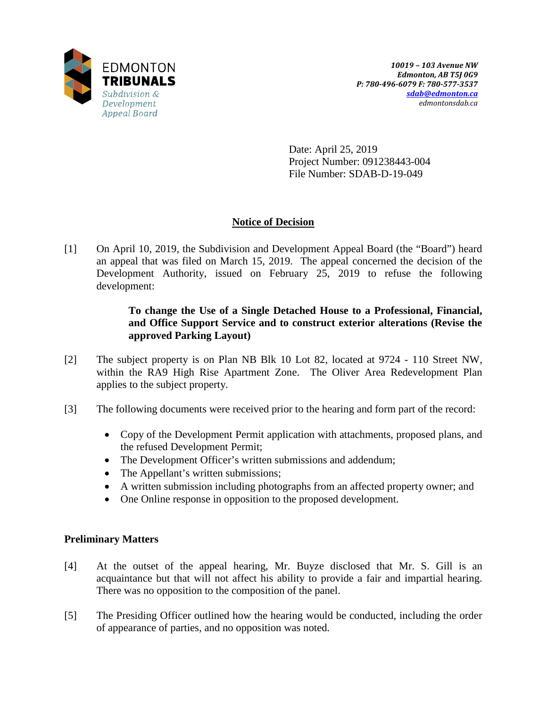

Date: April 25, 2019 Project Number: 091238443-004 File Number: SDAB-D-19-049

# **Notice of Decision**

[1] On April 10, 2019, the Subdivision and Development Appeal Board (the "Board") heard an appeal that was filed on March 15, 2019. The appeal concerned the decision of the Development Authority, issued on February 25, 2019 to refuse the following development:

# **To change the Use of a Single Detached House to a Professional, Financial, and Office Support Service and to construct exterior alterations (Revise the approved Parking Layout)**

- [2] The subject property is on Plan NB Blk 10 Lot 82, located at 9724 110 Street NW, within the RA9 High Rise Apartment Zone. The Oliver Area Redevelopment Plan applies to the subject property.
- [3] The following documents were received prior to the hearing and form part of the record:
	- Copy of the Development Permit application with attachments, proposed plans, and the refused Development Permit;
	- The Development Officer's written submissions and addendum;
	- The Appellant's written submissions;
	- A written submission including photographs from an affected property owner; and
	- One Online response in opposition to the proposed development.

# **Preliminary Matters**

- [4] At the outset of the appeal hearing, Mr. Buyze disclosed that Mr. S. Gill is an acquaintance but that will not affect his ability to provide a fair and impartial hearing. There was no opposition to the composition of the panel.
- [5] The Presiding Officer outlined how the hearing would be conducted, including the order of appearance of parties, and no opposition was noted.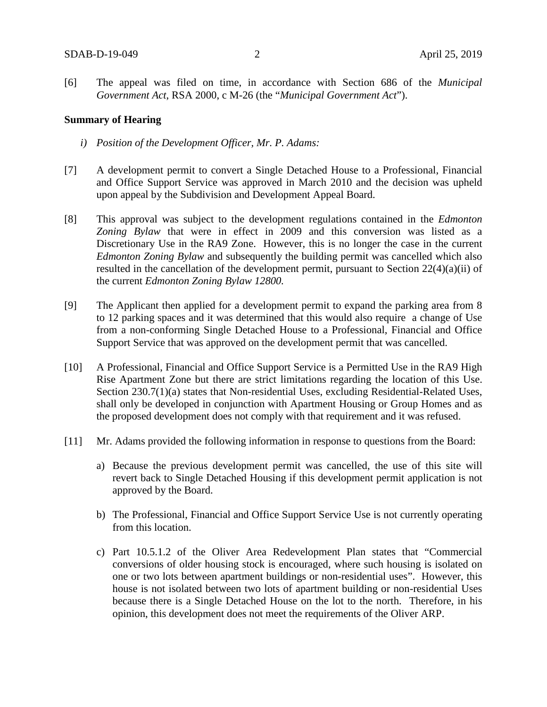[6] The appeal was filed on time, in accordance with Section 686 of the *Municipal Government Act*, RSA 2000, c M-26 (the "*Municipal Government Act*").

#### **Summary of Hearing**

- *i) Position of the Development Officer, Mr. P. Adams:*
- [7] A development permit to convert a Single Detached House to a Professional, Financial and Office Support Service was approved in March 2010 and the decision was upheld upon appeal by the Subdivision and Development Appeal Board.
- [8] This approval was subject to the development regulations contained in the *Edmonton Zoning Bylaw* that were in effect in 2009 and this conversion was listed as a Discretionary Use in the RA9 Zone. However, this is no longer the case in the current *Edmonton Zoning Bylaw* and subsequently the building permit was cancelled which also resulted in the cancellation of the development permit, pursuant to Section 22(4)(a)(ii) of the current *Edmonton Zoning Bylaw 12800.*
- [9] The Applicant then applied for a development permit to expand the parking area from 8 to 12 parking spaces and it was determined that this would also require a change of Use from a non-conforming Single Detached House to a Professional, Financial and Office Support Service that was approved on the development permit that was cancelled.
- [10] A Professional, Financial and Office Support Service is a Permitted Use in the RA9 High Rise Apartment Zone but there are strict limitations regarding the location of this Use. Section 230.7(1)(a) states that Non-residential Uses, excluding Residential-Related Uses, shall only be developed in conjunction with Apartment Housing or Group Homes and as the proposed development does not comply with that requirement and it was refused.
- [11] Mr. Adams provided the following information in response to questions from the Board:
	- a) Because the previous development permit was cancelled, the use of this site will revert back to Single Detached Housing if this development permit application is not approved by the Board.
	- b) The Professional, Financial and Office Support Service Use is not currently operating from this location.
	- c) Part 10.5.1.2 of the Oliver Area Redevelopment Plan states that "Commercial conversions of older housing stock is encouraged, where such housing is isolated on one or two lots between apartment buildings or non-residential uses". However, this house is not isolated between two lots of apartment building or non-residential Uses because there is a Single Detached House on the lot to the north. Therefore, in his opinion, this development does not meet the requirements of the Oliver ARP.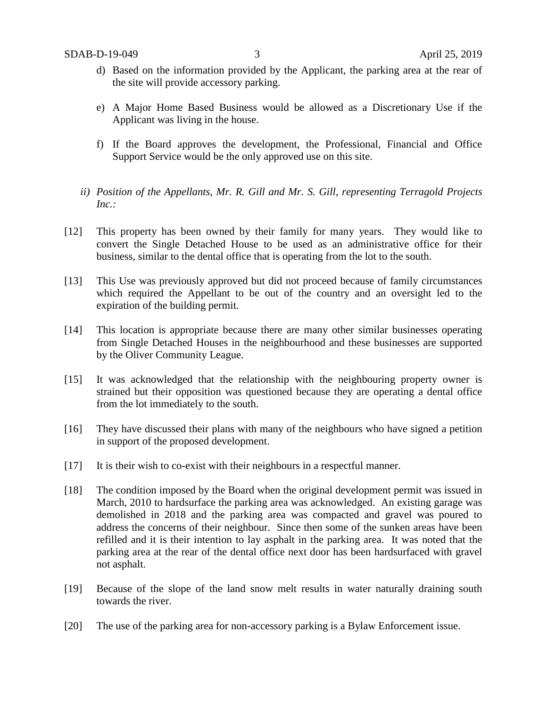- d) Based on the information provided by the Applicant, the parking area at the rear of the site will provide accessory parking.
- e) A Major Home Based Business would be allowed as a Discretionary Use if the Applicant was living in the house.
- f) If the Board approves the development, the Professional, Financial and Office Support Service would be the only approved use on this site.
- *ii) Position of the Appellants, Mr. R. Gill and Mr. S. Gill, representing Terragold Projects Inc.:*
- [12] This property has been owned by their family for many years. They would like to convert the Single Detached House to be used as an administrative office for their business, similar to the dental office that is operating from the lot to the south.
- [13] This Use was previously approved but did not proceed because of family circumstances which required the Appellant to be out of the country and an oversight led to the expiration of the building permit.
- [14] This location is appropriate because there are many other similar businesses operating from Single Detached Houses in the neighbourhood and these businesses are supported by the Oliver Community League.
- [15] It was acknowledged that the relationship with the neighbouring property owner is strained but their opposition was questioned because they are operating a dental office from the lot immediately to the south.
- [16] They have discussed their plans with many of the neighbours who have signed a petition in support of the proposed development.
- [17] It is their wish to co-exist with their neighbours in a respectful manner.
- [18] The condition imposed by the Board when the original development permit was issued in March, 2010 to hardsurface the parking area was acknowledged. An existing garage was demolished in 2018 and the parking area was compacted and gravel was poured to address the concerns of their neighbour. Since then some of the sunken areas have been refilled and it is their intention to lay asphalt in the parking area. It was noted that the parking area at the rear of the dental office next door has been hardsurfaced with gravel not asphalt.
- [19] Because of the slope of the land snow melt results in water naturally draining south towards the river.
- [20] The use of the parking area for non-accessory parking is a Bylaw Enforcement issue.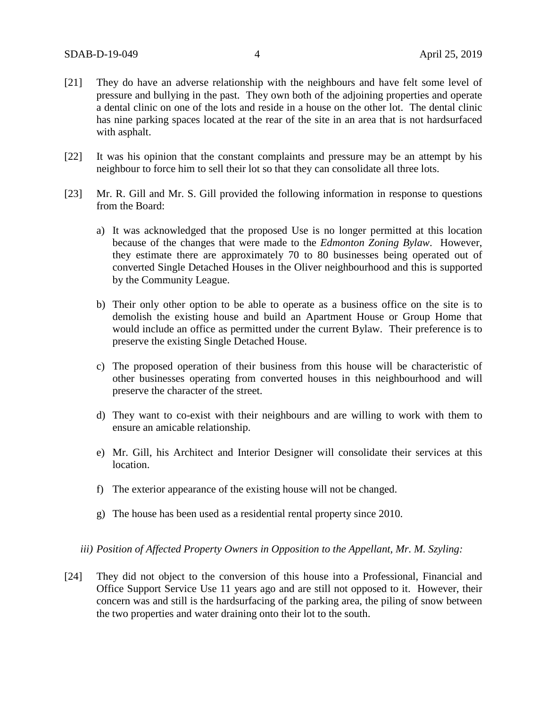- [21] They do have an adverse relationship with the neighbours and have felt some level of pressure and bullying in the past. They own both of the adjoining properties and operate a dental clinic on one of the lots and reside in a house on the other lot. The dental clinic has nine parking spaces located at the rear of the site in an area that is not hardsurfaced with asphalt.
- [22] It was his opinion that the constant complaints and pressure may be an attempt by his neighbour to force him to sell their lot so that they can consolidate all three lots.
- [23] Mr. R. Gill and Mr. S. Gill provided the following information in response to questions from the Board:
	- a) It was acknowledged that the proposed Use is no longer permitted at this location because of the changes that were made to the *Edmonton Zoning Bylaw*. However, they estimate there are approximately 70 to 80 businesses being operated out of converted Single Detached Houses in the Oliver neighbourhood and this is supported by the Community League.
	- b) Their only other option to be able to operate as a business office on the site is to demolish the existing house and build an Apartment House or Group Home that would include an office as permitted under the current Bylaw. Their preference is to preserve the existing Single Detached House.
	- c) The proposed operation of their business from this house will be characteristic of other businesses operating from converted houses in this neighbourhood and will preserve the character of the street.
	- d) They want to co-exist with their neighbours and are willing to work with them to ensure an amicable relationship.
	- e) Mr. Gill, his Architect and Interior Designer will consolidate their services at this location.
	- f) The exterior appearance of the existing house will not be changed.
	- g) The house has been used as a residential rental property since 2010.
	- *iii) Position of Affected Property Owners in Opposition to the Appellant, Mr. M. Szyling:*
- [24] They did not object to the conversion of this house into a Professional, Financial and Office Support Service Use 11 years ago and are still not opposed to it. However, their concern was and still is the hardsurfacing of the parking area, the piling of snow between the two properties and water draining onto their lot to the south.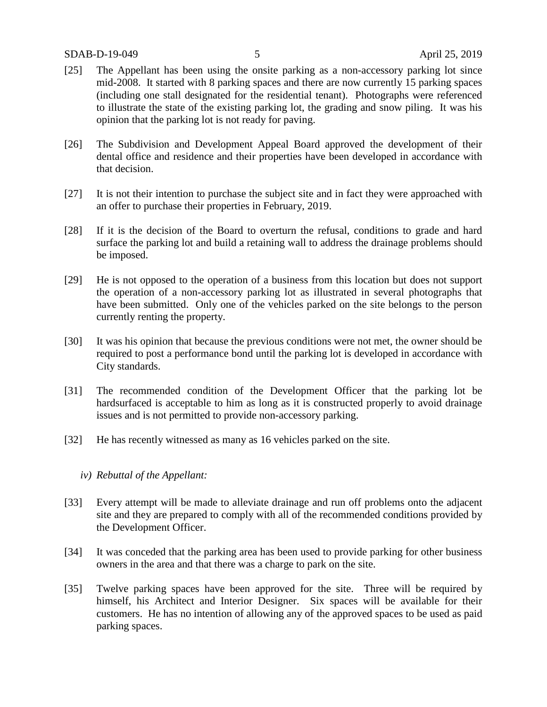- [25] The Appellant has been using the onsite parking as a non-accessory parking lot since mid-2008. It started with 8 parking spaces and there are now currently 15 parking spaces (including one stall designated for the residential tenant). Photographs were referenced to illustrate the state of the existing parking lot, the grading and snow piling. It was his opinion that the parking lot is not ready for paving.
- [26] The Subdivision and Development Appeal Board approved the development of their dental office and residence and their properties have been developed in accordance with that decision.
- [27] It is not their intention to purchase the subject site and in fact they were approached with an offer to purchase their properties in February, 2019.
- [28] If it is the decision of the Board to overturn the refusal, conditions to grade and hard surface the parking lot and build a retaining wall to address the drainage problems should be imposed.
- [29] He is not opposed to the operation of a business from this location but does not support the operation of a non-accessory parking lot as illustrated in several photographs that have been submitted. Only one of the vehicles parked on the site belongs to the person currently renting the property.
- [30] It was his opinion that because the previous conditions were not met, the owner should be required to post a performance bond until the parking lot is developed in accordance with City standards.
- [31] The recommended condition of the Development Officer that the parking lot be hardsurfaced is acceptable to him as long as it is constructed properly to avoid drainage issues and is not permitted to provide non-accessory parking.
- [32] He has recently witnessed as many as 16 vehicles parked on the site.
	- *iv) Rebuttal of the Appellant:*
- [33] Every attempt will be made to alleviate drainage and run off problems onto the adjacent site and they are prepared to comply with all of the recommended conditions provided by the Development Officer.
- [34] It was conceded that the parking area has been used to provide parking for other business owners in the area and that there was a charge to park on the site.
- [35] Twelve parking spaces have been approved for the site. Three will be required by himself, his Architect and Interior Designer. Six spaces will be available for their customers. He has no intention of allowing any of the approved spaces to be used as paid parking spaces.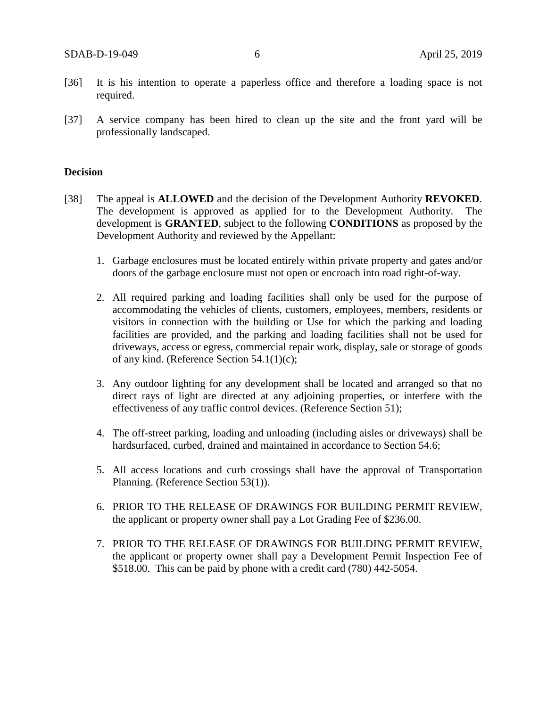- [36] It is his intention to operate a paperless office and therefore a loading space is not required.
- [37] A service company has been hired to clean up the site and the front yard will be professionally landscaped.

### **Decision**

- [38] The appeal is **ALLOWED** and the decision of the Development Authority **REVOKED**. The development is approved as applied for to the Development Authority. The development is **GRANTED**, subject to the following **CONDITIONS** as proposed by the Development Authority and reviewed by the Appellant:
	- 1. Garbage enclosures must be located entirely within private property and gates and/or doors of the garbage enclosure must not open or encroach into road right-of-way.
	- 2. All required parking and loading facilities shall only be used for the purpose of accommodating the vehicles of clients, customers, employees, members, residents or visitors in connection with the building or Use for which the parking and loading facilities are provided, and the parking and loading facilities shall not be used for driveways, access or egress, commercial repair work, display, sale or storage of goods of any kind. (Reference Section 54.1(1)(c);
	- 3. Any outdoor lighting for any development shall be located and arranged so that no direct rays of light are directed at any adjoining properties, or interfere with the effectiveness of any traffic control devices. (Reference Section 51);
	- 4. The off-street parking, loading and unloading (including aisles or driveways) shall be hardsurfaced, curbed, drained and maintained in accordance to Section 54.6;
	- 5. All access locations and curb crossings shall have the approval of Transportation Planning. (Reference Section 53(1)).
	- 6. PRIOR TO THE RELEASE OF DRAWINGS FOR BUILDING PERMIT REVIEW, the applicant or property owner shall pay a Lot Grading Fee of \$236.00.
	- 7. PRIOR TO THE RELEASE OF DRAWINGS FOR BUILDING PERMIT REVIEW, the applicant or property owner shall pay a Development Permit Inspection Fee of \$518.00. This can be paid by phone with a credit card (780) 442-5054.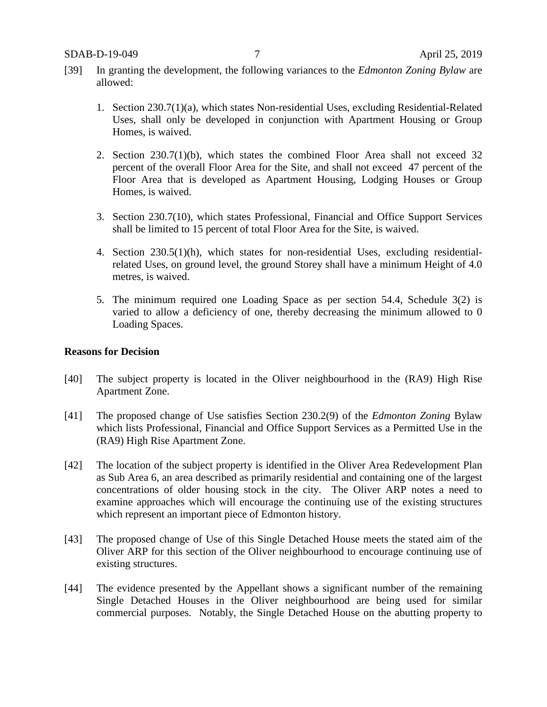- [39] In granting the development, the following variances to the *Edmonton Zoning Bylaw* are allowed:
	- 1. Section 230.7(1)(a), which states Non-residential Uses, excluding Residential-Related Uses, shall only be developed in conjunction with Apartment Housing or Group Homes, is waived.
	- 2. Section 230.7(1)(b), which states the combined Floor Area shall not exceed 32 percent of the overall Floor Area for the Site, and shall not exceed 47 percent of the Floor Area that is developed as Apartment Housing, Lodging Houses or Group Homes, is waived.
	- 3. Section 230.7(10), which states Professional, Financial and Office Support Services shall be limited to 15 percent of total Floor Area for the Site, is waived.
	- 4. Section 230.5(1)(h), which states for non-residential Uses, excluding residentialrelated Uses, on ground level, the ground Storey shall have a minimum Height of 4.0 metres, is waived.
	- 5. The minimum required one Loading Space as per section 54.4, Schedule 3(2) is varied to allow a deficiency of one, thereby decreasing the minimum allowed to 0 Loading Spaces.

#### **Reasons for Decision**

- [40] The subject property is located in the Oliver neighbourhood in the (RA9) High Rise Apartment Zone.
- [41] The proposed change of Use satisfies Section 230.2(9) of the *Edmonton Zoning* Bylaw which lists Professional, Financial and Office Support Services as a Permitted Use in the (RA9) High Rise Apartment Zone.
- [42] The location of the subject property is identified in the Oliver Area Redevelopment Plan as Sub Area 6, an area described as primarily residential and containing one of the largest concentrations of older housing stock in the city. The Oliver ARP notes a need to examine approaches which will encourage the continuing use of the existing structures which represent an important piece of Edmonton history.
- [43] The proposed change of Use of this Single Detached House meets the stated aim of the Oliver ARP for this section of the Oliver neighbourhood to encourage continuing use of existing structures.
- [44] The evidence presented by the Appellant shows a significant number of the remaining Single Detached Houses in the Oliver neighbourhood are being used for similar commercial purposes. Notably, the Single Detached House on the abutting property to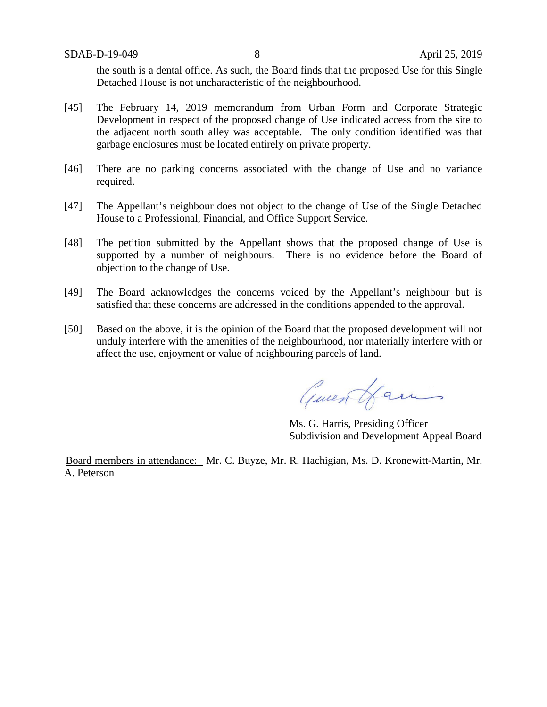the south is a dental office. As such, the Board finds that the proposed Use for this Single Detached House is not uncharacteristic of the neighbourhood.

- [45] The February 14, 2019 memorandum from Urban Form and Corporate Strategic Development in respect of the proposed change of Use indicated access from the site to the adjacent north south alley was acceptable. The only condition identified was that garbage enclosures must be located entirely on private property.
- [46] There are no parking concerns associated with the change of Use and no variance required.
- [47] The Appellant's neighbour does not object to the change of Use of the Single Detached House to a Professional, Financial, and Office Support Service.
- [48] The petition submitted by the Appellant shows that the proposed change of Use is supported by a number of neighbours. There is no evidence before the Board of objection to the change of Use.
- [49] The Board acknowledges the concerns voiced by the Appellant's neighbour but is satisfied that these concerns are addressed in the conditions appended to the approval.
- [50] Based on the above, it is the opinion of the Board that the proposed development will not unduly interfere with the amenities of the neighbourhood, nor materially interfere with or affect the use, enjoyment or value of neighbouring parcels of land.

Quentfamis

Ms. G. Harris, Presiding Officer Subdivision and Development Appeal Board

Board members in attendance: Mr. C. Buyze, Mr. R. Hachigian, Ms. D. Kronewitt-Martin, Mr. A. Peterson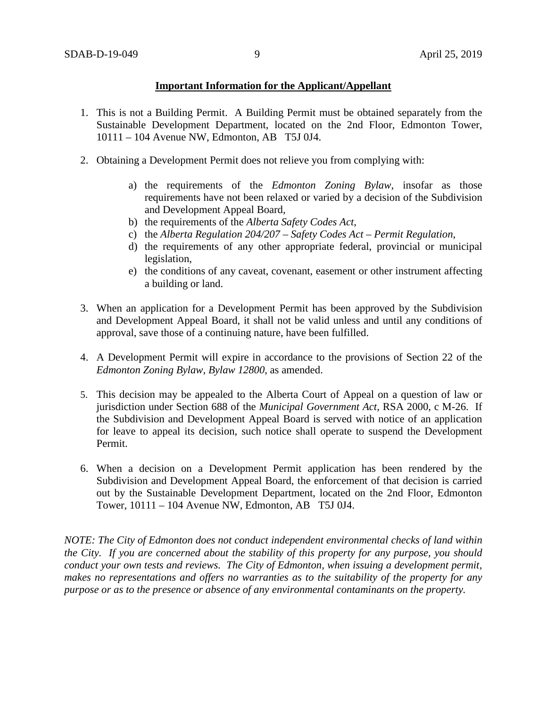## **Important Information for the Applicant/Appellant**

- 1. This is not a Building Permit. A Building Permit must be obtained separately from the Sustainable Development Department, located on the 2nd Floor, Edmonton Tower, 10111 – 104 Avenue NW, Edmonton, AB T5J 0J4.
- 2. Obtaining a Development Permit does not relieve you from complying with:
	- a) the requirements of the *Edmonton Zoning Bylaw*, insofar as those requirements have not been relaxed or varied by a decision of the Subdivision and Development Appeal Board,
	- b) the requirements of the *Alberta Safety Codes Act*,
	- c) the *Alberta Regulation 204/207 – Safety Codes Act – Permit Regulation*,
	- d) the requirements of any other appropriate federal, provincial or municipal legislation,
	- e) the conditions of any caveat, covenant, easement or other instrument affecting a building or land.
- 3. When an application for a Development Permit has been approved by the Subdivision and Development Appeal Board, it shall not be valid unless and until any conditions of approval, save those of a continuing nature, have been fulfilled.
- 4. A Development Permit will expire in accordance to the provisions of Section 22 of the *Edmonton Zoning Bylaw, Bylaw 12800*, as amended.
- 5. This decision may be appealed to the Alberta Court of Appeal on a question of law or jurisdiction under Section 688 of the *Municipal Government Act*, RSA 2000, c M-26. If the Subdivision and Development Appeal Board is served with notice of an application for leave to appeal its decision, such notice shall operate to suspend the Development Permit.
- 6. When a decision on a Development Permit application has been rendered by the Subdivision and Development Appeal Board, the enforcement of that decision is carried out by the Sustainable Development Department, located on the 2nd Floor, Edmonton Tower, 10111 – 104 Avenue NW, Edmonton, AB T5J 0J4.

*NOTE: The City of Edmonton does not conduct independent environmental checks of land within the City. If you are concerned about the stability of this property for any purpose, you should conduct your own tests and reviews. The City of Edmonton, when issuing a development permit, makes no representations and offers no warranties as to the suitability of the property for any purpose or as to the presence or absence of any environmental contaminants on the property.*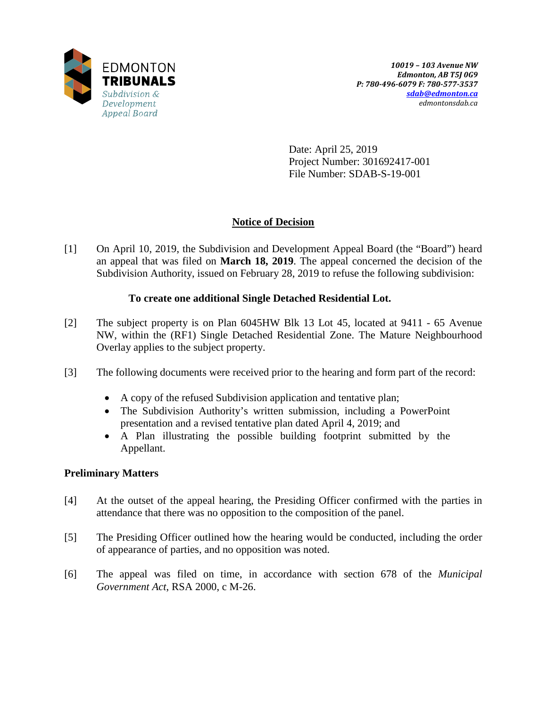

Date: April 25, 2019 Project Number: 301692417-001 File Number: SDAB-S-19-001

# **Notice of Decision**

[1] On April 10, 2019, the Subdivision and Development Appeal Board (the "Board") heard an appeal that was filed on **March 18, 2019**. The appeal concerned the decision of the Subdivision Authority, issued on February 28, 2019 to refuse the following subdivision:

# **To create one additional Single Detached Residential Lot.**

- [2] The subject property is on Plan 6045HW Blk 13 Lot 45, located at 9411 65 Avenue NW, within the (RF1) Single Detached Residential Zone. The Mature Neighbourhood Overlay applies to the subject property.
- [3] The following documents were received prior to the hearing and form part of the record:
	- A copy of the refused Subdivision application and tentative plan;
	- The Subdivision Authority's written submission, including a PowerPoint presentation and a revised tentative plan dated April 4, 2019; and
	- A Plan illustrating the possible building footprint submitted by the Appellant.

# **Preliminary Matters**

- [4] At the outset of the appeal hearing, the Presiding Officer confirmed with the parties in attendance that there was no opposition to the composition of the panel.
- [5] The Presiding Officer outlined how the hearing would be conducted, including the order of appearance of parties, and no opposition was noted.
- [6] The appeal was filed on time, in accordance with section 678 of the *Municipal Government Act*, RSA 2000, c M-26.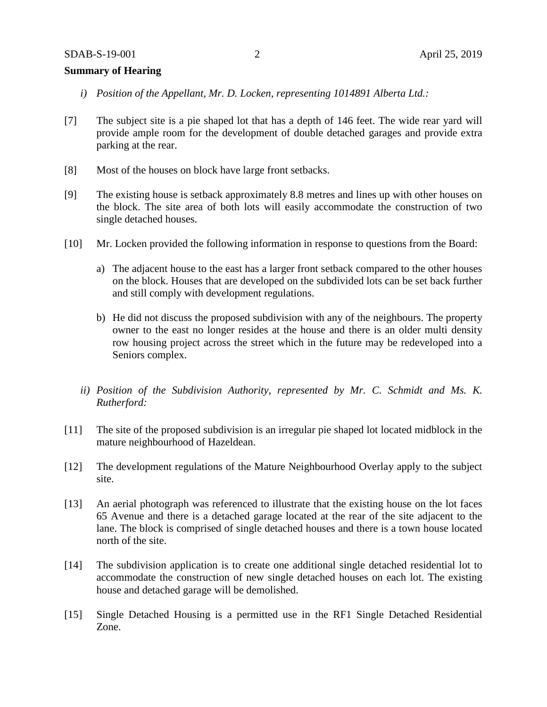## **Summary of Hearing**

- *i) Position of the Appellant, Mr. D. Locken, representing 1014891 Alberta Ltd.:*
- [7] The subject site is a pie shaped lot that has a depth of 146 feet. The wide rear yard will provide ample room for the development of double detached garages and provide extra parking at the rear.
- [8] Most of the houses on block have large front setbacks.
- [9] The existing house is setback approximately 8.8 metres and lines up with other houses on the block. The site area of both lots will easily accommodate the construction of two single detached houses.
- [10] Mr. Locken provided the following information in response to questions from the Board:
	- a) The adjacent house to the east has a larger front setback compared to the other houses on the block. Houses that are developed on the subdivided lots can be set back further and still comply with development regulations.
	- b) He did not discuss the proposed subdivision with any of the neighbours. The property owner to the east no longer resides at the house and there is an older multi density row housing project across the street which in the future may be redeveloped into a Seniors complex.
	- *ii) Position of the Subdivision Authority, represented by Mr. C. Schmidt and Ms. K. Rutherford:*
- [11] The site of the proposed subdivision is an irregular pie shaped lot located midblock in the mature neighbourhood of Hazeldean.
- [12] The development regulations of the Mature Neighbourhood Overlay apply to the subject site.
- [13] An aerial photograph was referenced to illustrate that the existing house on the lot faces 65 Avenue and there is a detached garage located at the rear of the site adjacent to the lane. The block is comprised of single detached houses and there is a town house located north of the site.
- [14] The subdivision application is to create one additional single detached residential lot to accommodate the construction of new single detached houses on each lot. The existing house and detached garage will be demolished.
- [15] Single Detached Housing is a permitted use in the RF1 Single Detached Residential Zone.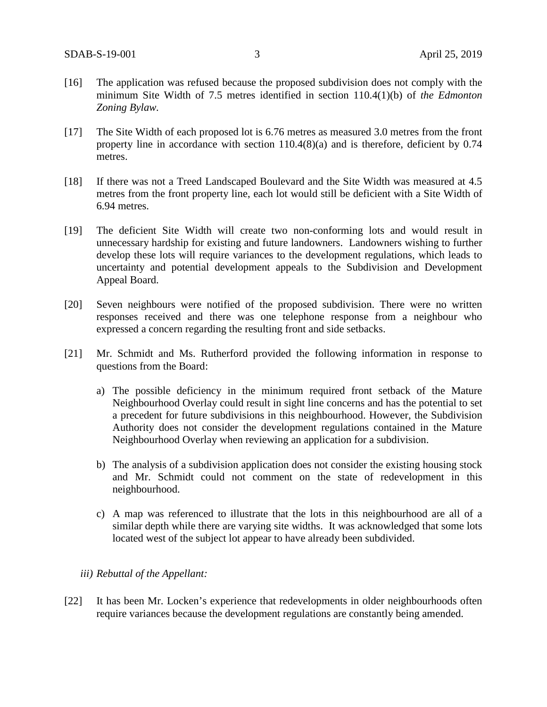- [16] The application was refused because the proposed subdivision does not comply with the minimum Site Width of 7.5 metres identified in section 110.4(1)(b) of *the Edmonton Zoning Bylaw.*
- [17] The Site Width of each proposed lot is 6.76 metres as measured 3.0 metres from the front property line in accordance with section 110.4(8)(a) and is therefore, deficient by 0.74 metres.
- [18] If there was not a Treed Landscaped Boulevard and the Site Width was measured at 4.5 metres from the front property line, each lot would still be deficient with a Site Width of 6.94 metres.
- [19] The deficient Site Width will create two non-conforming lots and would result in unnecessary hardship for existing and future landowners. Landowners wishing to further develop these lots will require variances to the development regulations, which leads to uncertainty and potential development appeals to the Subdivision and Development Appeal Board.
- [20] Seven neighbours were notified of the proposed subdivision. There were no written responses received and there was one telephone response from a neighbour who expressed a concern regarding the resulting front and side setbacks.
- [21] Mr. Schmidt and Ms. Rutherford provided the following information in response to questions from the Board:
	- a) The possible deficiency in the minimum required front setback of the Mature Neighbourhood Overlay could result in sight line concerns and has the potential to set a precedent for future subdivisions in this neighbourhood. However, the Subdivision Authority does not consider the development regulations contained in the Mature Neighbourhood Overlay when reviewing an application for a subdivision.
	- b) The analysis of a subdivision application does not consider the existing housing stock and Mr. Schmidt could not comment on the state of redevelopment in this neighbourhood.
	- c) A map was referenced to illustrate that the lots in this neighbourhood are all of a similar depth while there are varying site widths. It was acknowledged that some lots located west of the subject lot appear to have already been subdivided.

#### *iii) Rebuttal of the Appellant:*

[22] It has been Mr. Locken's experience that redevelopments in older neighbourhoods often require variances because the development regulations are constantly being amended.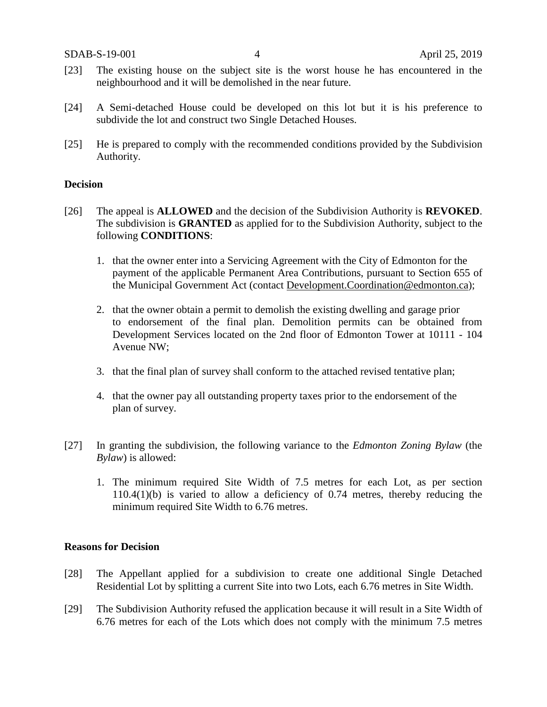- [23] The existing house on the subject site is the worst house he has encountered in the neighbourhood and it will be demolished in the near future.
- [24] A Semi-detached House could be developed on this lot but it is his preference to subdivide the lot and construct two Single Detached Houses.
- [25] He is prepared to comply with the recommended conditions provided by the Subdivision Authority.

#### **Decision**

- [26] The appeal is **ALLOWED** and the decision of the Subdivision Authority is **REVOKED**. The subdivision is **GRANTED** as applied for to the Subdivision Authority, subject to the following **CONDITIONS**:
	- 1. that the owner enter into a Servicing Agreement with the City of Edmonton for the payment of the applicable Permanent Area Contributions, pursuant to Section 655 of the Municipal Government Act (contact [Development.Coordination@edmonton.ca\)](mailto:Development.Coordination@edmonton.ca);
	- 2. that the owner obtain a permit to demolish the existing dwelling and garage prior to endorsement of the final plan. Demolition permits can be obtained from Development Services located on the 2nd floor of Edmonton Tower at 10111 - 104 Avenue NW;
	- 3. that the final plan of survey shall conform to the attached revised tentative plan;
	- 4. that the owner pay all outstanding property taxes prior to the endorsement of the plan of survey.
- [27] In granting the subdivision, the following variance to the *Edmonton Zoning Bylaw* (the *Bylaw*) is allowed:
	- 1. The minimum required Site Width of 7.5 metres for each Lot, as per section 110.4(1)(b) is varied to allow a deficiency of 0.74 metres, thereby reducing the minimum required Site Width to 6.76 metres.

#### **Reasons for Decision**

- [28] The Appellant applied for a subdivision to create one additional Single Detached Residential Lot by splitting a current Site into two Lots, each 6.76 metres in Site Width.
- [29] The Subdivision Authority refused the application because it will result in a Site Width of 6.76 metres for each of the Lots which does not comply with the minimum 7.5 metres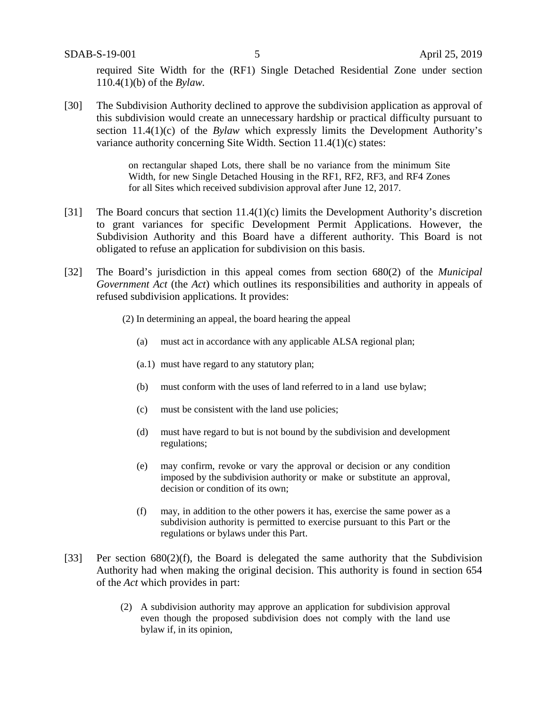required Site Width for the (RF1) Single Detached Residential Zone under section 110.4(1)(b) of the *Bylaw.*

[30] The Subdivision Authority declined to approve the subdivision application as approval of this subdivision would create an unnecessary hardship or practical difficulty pursuant to section 11.4(1)(c) of the *Bylaw* which expressly limits the Development Authority's variance authority concerning Site Width. Section 11.4(1)(c) states:

> on rectangular shaped Lots, there shall be no variance from the minimum Site Width, for new Single Detached Housing in the RF1, RF2, RF3, and RF4 Zones for all Sites which received subdivision approval after June 12, 2017.

- [31] The Board concurs that section 11.4(1)(c) limits the Development Authority's discretion to grant variances for specific Development Permit Applications. However, the Subdivision Authority and this Board have a different authority. This Board is not obligated to refuse an application for subdivision on this basis.
- [32] The Board's jurisdiction in this appeal comes from section 680(2) of the *Municipal Government Act* (the *Act*) which outlines its responsibilities and authority in appeals of refused subdivision applications*.* It provides:
	- (2) In determining an appeal, the board hearing the appeal
		- (a) must act in accordance with any applicable ALSA regional plan;
		- (a.1) must have regard to any statutory plan;
		- (b) must conform with the uses of land referred to in a land use bylaw;
		- (c) must be consistent with the land use policies;
		- (d) must have regard to but is not bound by the subdivision and development regulations;
		- (e) may confirm, revoke or vary the approval or decision or any condition imposed by the subdivision authority or make or substitute an approval, decision or condition of its own;
		- (f) may, in addition to the other powers it has, exercise the same power as a subdivision authority is permitted to exercise pursuant to this Part or the regulations or bylaws under this Part.
- [33] Per section 680(2)(f), the Board is delegated the same authority that the Subdivision Authority had when making the original decision. This authority is found in section 654 of the *Act* which provides in part:
	- (2) A subdivision authority may approve an application for subdivision approval even though the proposed subdivision does not comply with the land use bylaw if, in its opinion,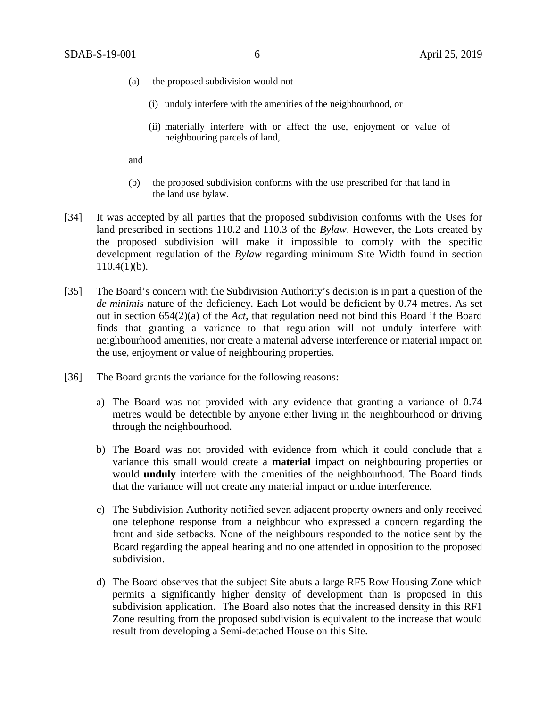- (a) the proposed subdivision would not
	- (i) unduly interfere with the amenities of the neighbourhood, or
	- (ii) materially interfere with or affect the use, enjoyment or value of neighbouring parcels of land,

and

- (b) the proposed subdivision conforms with the use prescribed for that land in the land use bylaw.
- [34] It was accepted by all parties that the proposed subdivision conforms with the Uses for land prescribed in sections 110.2 and 110.3 of the *Bylaw*. However, the Lots created by the proposed subdivision will make it impossible to comply with the specific development regulation of the *Bylaw* regarding minimum Site Width found in section  $110.4(1)(b)$ .
- [35] The Board's concern with the Subdivision Authority's decision is in part a question of the *de minimis* nature of the deficiency. Each Lot would be deficient by 0.74 metres. As set out in section 654(2)(a) of the *Act*, that regulation need not bind this Board if the Board finds that granting a variance to that regulation will not unduly interfere with neighbourhood amenities, nor create a material adverse interference or material impact on the use, enjoyment or value of neighbouring properties.
- [36] The Board grants the variance for the following reasons:
	- a) The Board was not provided with any evidence that granting a variance of 0.74 metres would be detectible by anyone either living in the neighbourhood or driving through the neighbourhood.
	- b) The Board was not provided with evidence from which it could conclude that a variance this small would create a **material** impact on neighbouring properties or would **unduly** interfere with the amenities of the neighbourhood. The Board finds that the variance will not create any material impact or undue interference.
	- c) The Subdivision Authority notified seven adjacent property owners and only received one telephone response from a neighbour who expressed a concern regarding the front and side setbacks. None of the neighbours responded to the notice sent by the Board regarding the appeal hearing and no one attended in opposition to the proposed subdivision.
	- d) The Board observes that the subject Site abuts a large RF5 Row Housing Zone which permits a significantly higher density of development than is proposed in this subdivision application. The Board also notes that the increased density in this RF1 Zone resulting from the proposed subdivision is equivalent to the increase that would result from developing a Semi-detached House on this Site.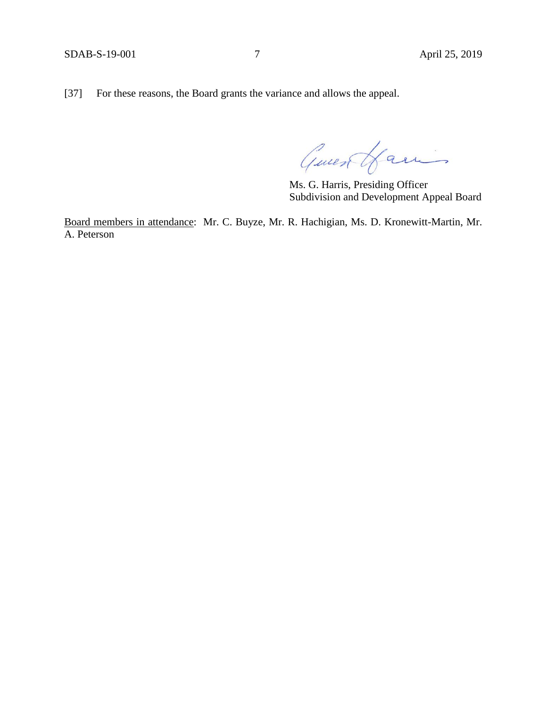[37] For these reasons, the Board grants the variance and allows the appeal.

Guest Hamis

Ms. G. Harris, Presiding Officer Subdivision and Development Appeal Board

Board members in attendance: Mr. C. Buyze, Mr. R. Hachigian, Ms. D. Kronewitt-Martin, Mr. A. Peterson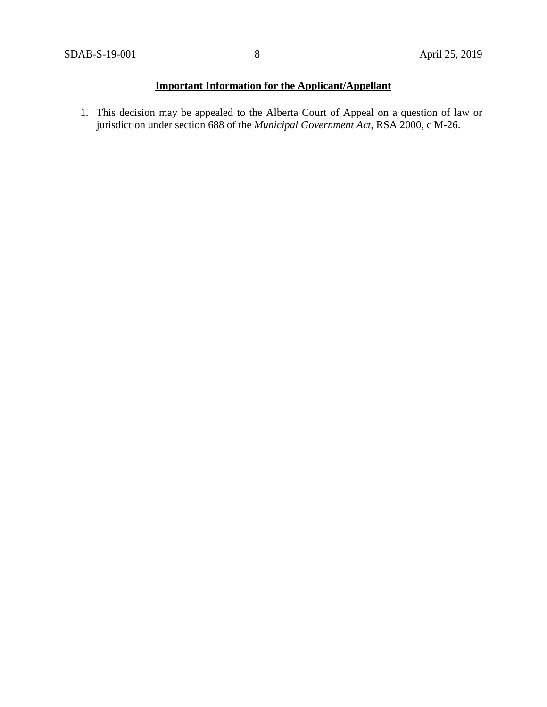# **Important Information for the Applicant/Appellant**

1. This decision may be appealed to the Alberta Court of Appeal on a question of law or jurisdiction under section 688 of the *Municipal Government Act*, RSA 2000, c M-26.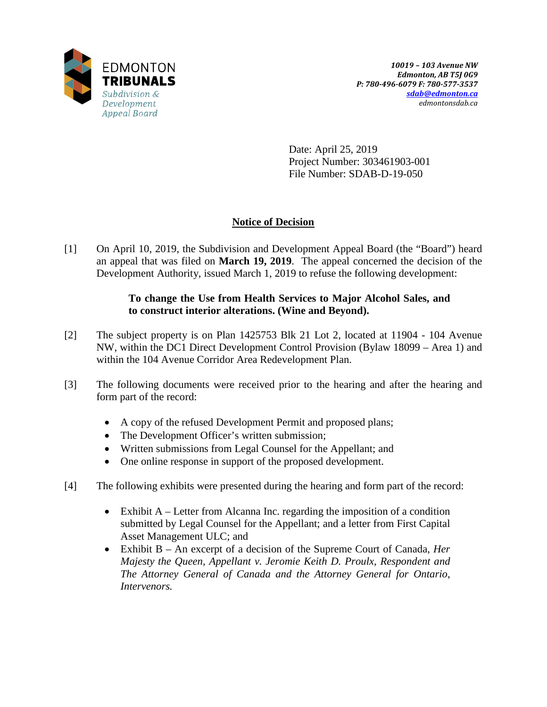

Date: April 25, 2019 Project Number: 303461903-001 File Number: SDAB-D-19-050

# **Notice of Decision**

[1] On April 10, 2019, the Subdivision and Development Appeal Board (the "Board") heard an appeal that was filed on **March 19, 2019**. The appeal concerned the decision of the Development Authority, issued March 1, 2019 to refuse the following development:

# **To change the Use from Health Services to Major Alcohol Sales, and to construct interior alterations. (Wine and Beyond).**

- [2] The subject property is on Plan 1425753 Blk 21 Lot 2, located at 11904 104 Avenue NW, within the DC1 Direct Development Control Provision (Bylaw 18099 – Area 1) and within the 104 Avenue Corridor Area Redevelopment Plan.
- [3] The following documents were received prior to the hearing and after the hearing and form part of the record:
	- A copy of the refused Development Permit and proposed plans;
	- The Development Officer's written submission;
	- Written submissions from Legal Counsel for the Appellant; and
	- One online response in support of the proposed development.
- [4] The following exhibits were presented during the hearing and form part of the record:
	- Exhibit A Letter from Alcanna Inc. regarding the imposition of a condition submitted by Legal Counsel for the Appellant; and a letter from First Capital Asset Management ULC; and
	- Exhibit B An excerpt of a decision of the Supreme Court of Canada, *Her Majesty the Queen, Appellant v. Jeromie Keith D. Proulx, Respondent and The Attorney General of Canada and the Attorney General for Ontario, Intervenors.*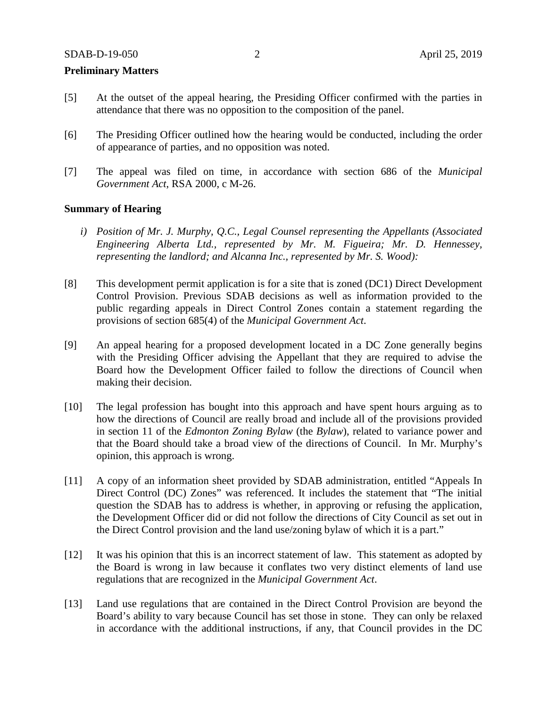## **Preliminary Matters**

- [5] At the outset of the appeal hearing, the Presiding Officer confirmed with the parties in attendance that there was no opposition to the composition of the panel.
- [6] The Presiding Officer outlined how the hearing would be conducted, including the order of appearance of parties, and no opposition was noted.
- [7] The appeal was filed on time, in accordance with section 686 of the *Municipal Government Act*, RSA 2000, c M-26.

#### **Summary of Hearing**

- *i) Position of Mr. J. Murphy, Q.C., Legal Counsel representing the Appellants (Associated Engineering Alberta Ltd., represented by Mr. M. Figueira; Mr. D. Hennessey, representing the landlord; and Alcanna Inc., represented by Mr. S. Wood):*
- [8] This development permit application is for a site that is zoned (DC1) Direct Development Control Provision. Previous SDAB decisions as well as information provided to the public regarding appeals in Direct Control Zones contain a statement regarding the provisions of section 685(4) of the *Municipal Government Act*.
- [9] An appeal hearing for a proposed development located in a DC Zone generally begins with the Presiding Officer advising the Appellant that they are required to advise the Board how the Development Officer failed to follow the directions of Council when making their decision.
- [10] The legal profession has bought into this approach and have spent hours arguing as to how the directions of Council are really broad and include all of the provisions provided in section 11 of the *Edmonton Zoning Bylaw* (the *Bylaw*), related to variance power and that the Board should take a broad view of the directions of Council. In Mr. Murphy's opinion, this approach is wrong.
- [11] A copy of an information sheet provided by SDAB administration, entitled "Appeals In Direct Control (DC) Zones" was referenced. It includes the statement that "The initial question the SDAB has to address is whether, in approving or refusing the application, the Development Officer did or did not follow the directions of City Council as set out in the Direct Control provision and the land use/zoning bylaw of which it is a part."
- [12] It was his opinion that this is an incorrect statement of law. This statement as adopted by the Board is wrong in law because it conflates two very distinct elements of land use regulations that are recognized in the *Municipal Government Act*.
- [13] Land use regulations that are contained in the Direct Control Provision are beyond the Board's ability to vary because Council has set those in stone. They can only be relaxed in accordance with the additional instructions, if any, that Council provides in the DC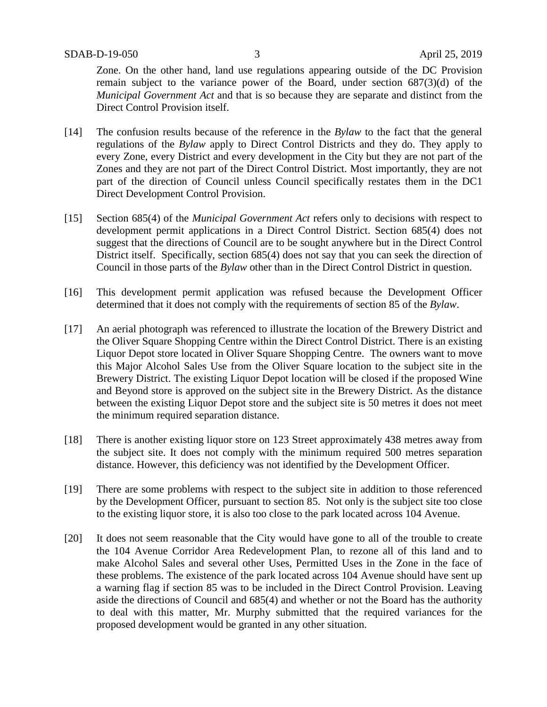Zone. On the other hand, land use regulations appearing outside of the DC Provision remain subject to the variance power of the Board, under section 687(3)(d) of the *Municipal Government Act* and that is so because they are separate and distinct from the Direct Control Provision itself.

- [14] The confusion results because of the reference in the *Bylaw* to the fact that the general regulations of the *Bylaw* apply to Direct Control Districts and they do. They apply to every Zone, every District and every development in the City but they are not part of the Zones and they are not part of the Direct Control District. Most importantly, they are not part of the direction of Council unless Council specifically restates them in the DC1 Direct Development Control Provision.
- [15] Section 685(4) of the *Municipal Government Act* refers only to decisions with respect to development permit applications in a Direct Control District. Section 685(4) does not suggest that the directions of Council are to be sought anywhere but in the Direct Control District itself. Specifically, section 685(4) does not say that you can seek the direction of Council in those parts of the *Bylaw* other than in the Direct Control District in question.
- [16] This development permit application was refused because the Development Officer determined that it does not comply with the requirements of section 85 of the *Bylaw*.
- [17] An aerial photograph was referenced to illustrate the location of the Brewery District and the Oliver Square Shopping Centre within the Direct Control District. There is an existing Liquor Depot store located in Oliver Square Shopping Centre. The owners want to move this Major Alcohol Sales Use from the Oliver Square location to the subject site in the Brewery District. The existing Liquor Depot location will be closed if the proposed Wine and Beyond store is approved on the subject site in the Brewery District. As the distance between the existing Liquor Depot store and the subject site is 50 metres it does not meet the minimum required separation distance.
- [18] There is another existing liquor store on 123 Street approximately 438 metres away from the subject site. It does not comply with the minimum required 500 metres separation distance. However, this deficiency was not identified by the Development Officer.
- [19] There are some problems with respect to the subject site in addition to those referenced by the Development Officer, pursuant to section 85. Not only is the subject site too close to the existing liquor store, it is also too close to the park located across 104 Avenue.
- [20] It does not seem reasonable that the City would have gone to all of the trouble to create the 104 Avenue Corridor Area Redevelopment Plan, to rezone all of this land and to make Alcohol Sales and several other Uses, Permitted Uses in the Zone in the face of these problems. The existence of the park located across 104 Avenue should have sent up a warning flag if section 85 was to be included in the Direct Control Provision. Leaving aside the directions of Council and 685(4) and whether or not the Board has the authority to deal with this matter, Mr. Murphy submitted that the required variances for the proposed development would be granted in any other situation.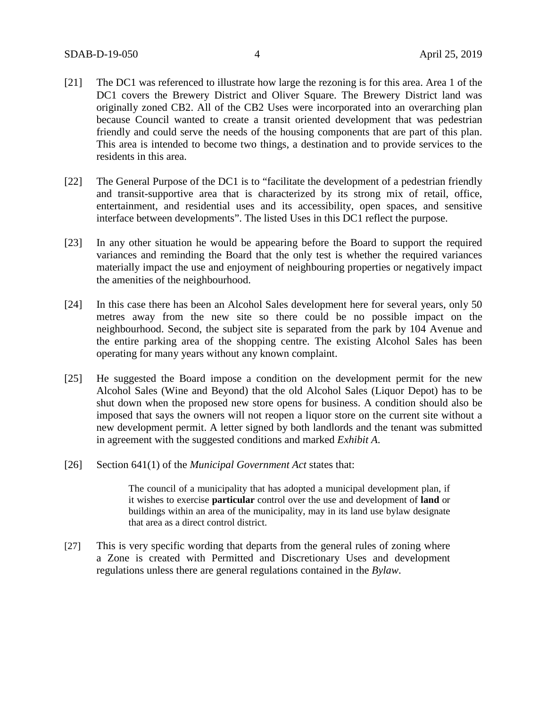- [21] The DC1 was referenced to illustrate how large the rezoning is for this area. Area 1 of the DC1 covers the Brewery District and Oliver Square. The Brewery District land was originally zoned CB2. All of the CB2 Uses were incorporated into an overarching plan because Council wanted to create a transit oriented development that was pedestrian friendly and could serve the needs of the housing components that are part of this plan. This area is intended to become two things, a destination and to provide services to the residents in this area.
- [22] The General Purpose of the DC1 is to "facilitate the development of a pedestrian friendly and transit-supportive area that is characterized by its strong mix of retail, office, entertainment, and residential uses and its accessibility, open spaces, and sensitive interface between developments". The listed Uses in this DC1 reflect the purpose.
- [23] In any other situation he would be appearing before the Board to support the required variances and reminding the Board that the only test is whether the required variances materially impact the use and enjoyment of neighbouring properties or negatively impact the amenities of the neighbourhood.
- [24] In this case there has been an Alcohol Sales development here for several years, only 50 metres away from the new site so there could be no possible impact on the neighbourhood. Second, the subject site is separated from the park by 104 Avenue and the entire parking area of the shopping centre. The existing Alcohol Sales has been operating for many years without any known complaint.
- [25] He suggested the Board impose a condition on the development permit for the new Alcohol Sales (Wine and Beyond) that the old Alcohol Sales (Liquor Depot) has to be shut down when the proposed new store opens for business. A condition should also be imposed that says the owners will not reopen a liquor store on the current site without a new development permit. A letter signed by both landlords and the tenant was submitted in agreement with the suggested conditions and marked *Exhibit A*.
- [26] Section 641(1) of the *Municipal Government Act* states that:

The council of a municipality that has adopted a municipal development plan, if it wishes to exercise **particular** control over the use and development of **land** or buildings within an area of the municipality, may in its land use bylaw designate that area as a direct control district.

[27] This is very specific wording that departs from the general rules of zoning where a Zone is created with Permitted and Discretionary Uses and development regulations unless there are general regulations contained in the *Bylaw*.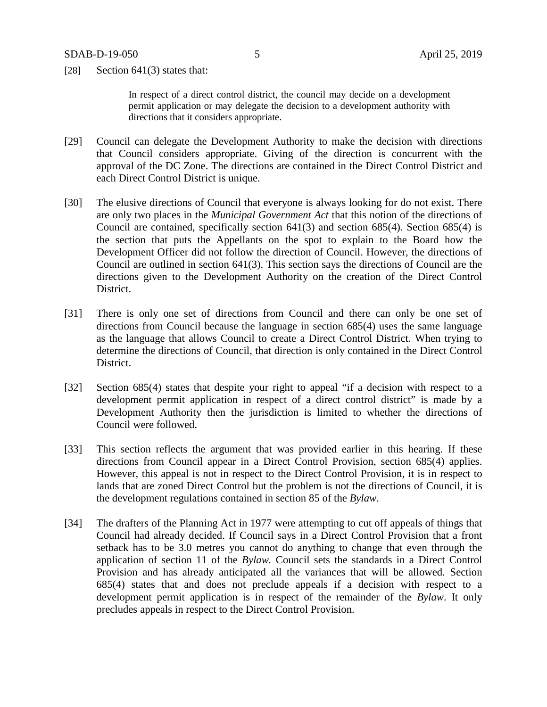[28] Section  $641(3)$  states that:

In respect of a direct control district, the council may decide on a development permit application or may delegate the decision to a development authority with directions that it considers appropriate.

- [29] Council can delegate the Development Authority to make the decision with directions that Council considers appropriate. Giving of the direction is concurrent with the approval of the DC Zone. The directions are contained in the Direct Control District and each Direct Control District is unique.
- [30] The elusive directions of Council that everyone is always looking for do not exist. There are only two places in the *Municipal Government Act* that this notion of the directions of Council are contained, specifically section 641(3) and section 685(4). Section 685(4) is the section that puts the Appellants on the spot to explain to the Board how the Development Officer did not follow the direction of Council. However, the directions of Council are outlined in section 641(3). This section says the directions of Council are the directions given to the Development Authority on the creation of the Direct Control District.
- [31] There is only one set of directions from Council and there can only be one set of directions from Council because the language in section 685(4) uses the same language as the language that allows Council to create a Direct Control District. When trying to determine the directions of Council, that direction is only contained in the Direct Control District.
- [32] Section 685(4) states that despite your right to appeal "if a decision with respect to a development permit application in respect of a direct control district" is made by a Development Authority then the jurisdiction is limited to whether the directions of Council were followed.
- [33] This section reflects the argument that was provided earlier in this hearing. If these directions from Council appear in a Direct Control Provision, section 685(4) applies. However, this appeal is not in respect to the Direct Control Provision, it is in respect to lands that are zoned Direct Control but the problem is not the directions of Council, it is the development regulations contained in section 85 of the *Bylaw*.
- [34] The drafters of the Planning Act in 1977 were attempting to cut off appeals of things that Council had already decided. If Council says in a Direct Control Provision that a front setback has to be 3.0 metres you cannot do anything to change that even through the application of section 11 of the *Bylaw.* Council sets the standards in a Direct Control Provision and has already anticipated all the variances that will be allowed. Section 685(4) states that and does not preclude appeals if a decision with respect to a development permit application is in respect of the remainder of the *Bylaw*. It only precludes appeals in respect to the Direct Control Provision.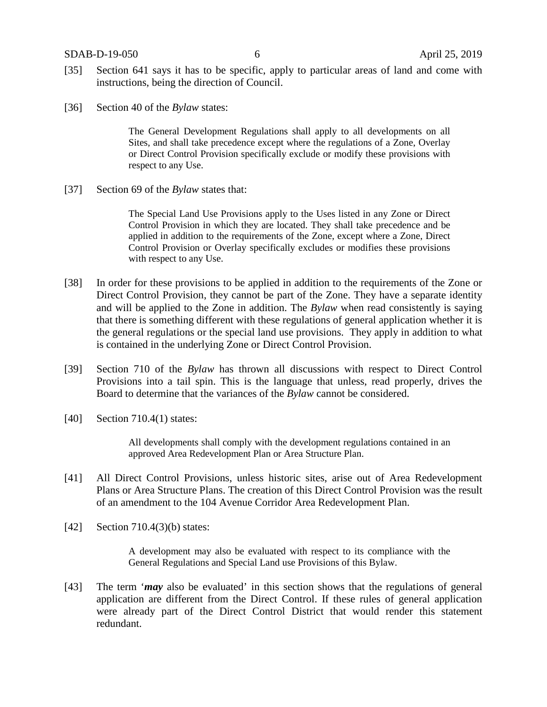SDAB-D-19-050 6 April 25, 2019

- [35] Section 641 says it has to be specific, apply to particular areas of land and come with instructions, being the direction of Council.
- [36] Section 40 of the *Bylaw* states:

The General Development Regulations shall apply to all developments on all Sites, and shall take precedence except where the regulations of a Zone, Overlay or Direct Control Provision specifically exclude or modify these provisions with respect to any Use.

[37] Section 69 of the *Bylaw* states that:

The Special Land Use Provisions apply to the Uses listed in any Zone or Direct Control Provision in which they are located. They shall take precedence and be applied in addition to the requirements of the Zone, except where a Zone, Direct Control Provision or Overlay specifically excludes or modifies these provisions with respect to any Use.

- [38] In order for these provisions to be applied in addition to the requirements of the Zone or Direct Control Provision, they cannot be part of the Zone. They have a separate identity and will be applied to the Zone in addition. The *Bylaw* when read consistently is saying that there is something different with these regulations of general application whether it is the general regulations or the special land use provisions. They apply in addition to what is contained in the underlying Zone or Direct Control Provision.
- [39] Section 710 of the *Bylaw* has thrown all discussions with respect to Direct Control Provisions into a tail spin. This is the language that unless, read properly, drives the Board to determine that the variances of the *Bylaw* cannot be considered.
- [40] Section 710.4(1) states:

All developments shall comply with the development regulations contained in an approved Area Redevelopment Plan or Area Structure Plan.

- [41] All Direct Control Provisions, unless historic sites, arise out of Area Redevelopment Plans or Area Structure Plans. The creation of this Direct Control Provision was the result of an amendment to the 104 Avenue Corridor Area Redevelopment Plan.
- [42] Section 710.4(3)(b) states:

A development may also be evaluated with respect to its compliance with the General Regulations and Special Land use Provisions of this Bylaw.

[43] The term '*may* also be evaluated' in this section shows that the regulations of general application are different from the Direct Control. If these rules of general application were already part of the Direct Control District that would render this statement redundant.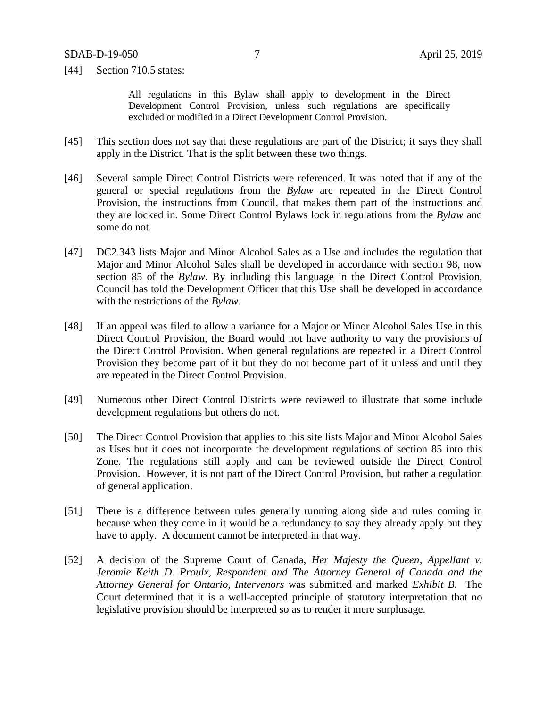[44] Section 710.5 states:

All regulations in this Bylaw shall apply to development in the Direct Development Control Provision, unless such regulations are specifically excluded or modified in a Direct Development Control Provision.

- [45] This section does not say that these regulations are part of the District; it says they shall apply in the District. That is the split between these two things.
- [46] Several sample Direct Control Districts were referenced. It was noted that if any of the general or special regulations from the *Bylaw* are repeated in the Direct Control Provision, the instructions from Council, that makes them part of the instructions and they are locked in. Some Direct Control Bylaws lock in regulations from the *Bylaw* and some do not.
- [47] DC2.343 lists Major and Minor Alcohol Sales as a Use and includes the regulation that Major and Minor Alcohol Sales shall be developed in accordance with section 98, now section 85 of the *Bylaw*. By including this language in the Direct Control Provision, Council has told the Development Officer that this Use shall be developed in accordance with the restrictions of the *Bylaw*.
- [48] If an appeal was filed to allow a variance for a Major or Minor Alcohol Sales Use in this Direct Control Provision, the Board would not have authority to vary the provisions of the Direct Control Provision. When general regulations are repeated in a Direct Control Provision they become part of it but they do not become part of it unless and until they are repeated in the Direct Control Provision.
- [49] Numerous other Direct Control Districts were reviewed to illustrate that some include development regulations but others do not.
- [50] The Direct Control Provision that applies to this site lists Major and Minor Alcohol Sales as Uses but it does not incorporate the development regulations of section 85 into this Zone. The regulations still apply and can be reviewed outside the Direct Control Provision. However, it is not part of the Direct Control Provision, but rather a regulation of general application.
- [51] There is a difference between rules generally running along side and rules coming in because when they come in it would be a redundancy to say they already apply but they have to apply. A document cannot be interpreted in that way.
- [52] A decision of the Supreme Court of Canada, *Her Majesty the Queen, Appellant v. Jeromie Keith D. Proulx, Respondent and The Attorney General of Canada and the Attorney General for Ontario, Intervenors* was submitted and marked *Exhibit B*. The Court determined that it is a well-accepted principle of statutory interpretation that no legislative provision should be interpreted so as to render it mere surplusage.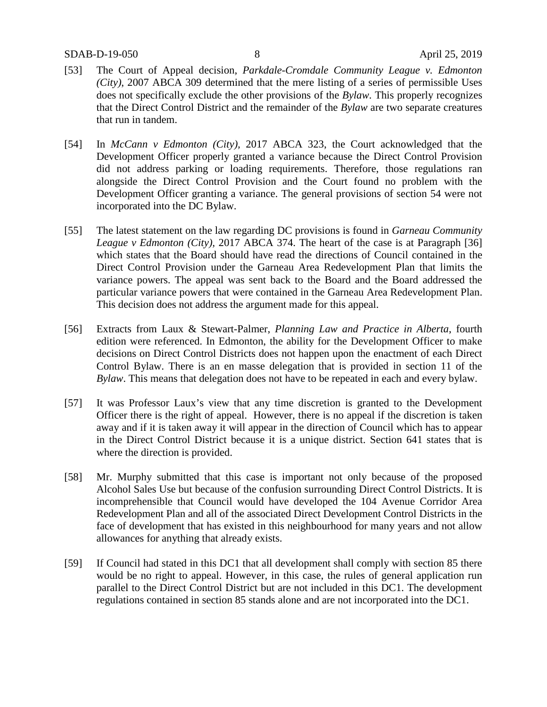- [53] The Court of Appeal decision, *Parkdale-Cromdale Community League v. Edmonton (City)*, 2007 ABCA 309 determined that the mere listing of a series of permissible Uses does not specifically exclude the other provisions of the *Bylaw*. This properly recognizes that the Direct Control District and the remainder of the *Bylaw* are two separate creatures that run in tandem.
- [54] In *McCann v Edmonton (City),* 2017 ABCA 323, the Court acknowledged that the Development Officer properly granted a variance because the Direct Control Provision did not address parking or loading requirements. Therefore, those regulations ran alongside the Direct Control Provision and the Court found no problem with the Development Officer granting a variance. The general provisions of section 54 were not incorporated into the DC Bylaw.
- [55] The latest statement on the law regarding DC provisions is found in *Garneau Community League v Edmonton (City),* 2017 ABCA 374. The heart of the case is at Paragraph [36] which states that the Board should have read the directions of Council contained in the Direct Control Provision under the Garneau Area Redevelopment Plan that limits the variance powers. The appeal was sent back to the Board and the Board addressed the particular variance powers that were contained in the Garneau Area Redevelopment Plan. This decision does not address the argument made for this appeal.
- [56] Extracts from Laux & Stewart-Palmer, *Planning Law and Practice in Alberta*, fourth edition were referenced. In Edmonton, the ability for the Development Officer to make decisions on Direct Control Districts does not happen upon the enactment of each Direct Control Bylaw. There is an en masse delegation that is provided in section 11 of the *Bylaw*. This means that delegation does not have to be repeated in each and every bylaw.
- [57] It was Professor Laux's view that any time discretion is granted to the Development Officer there is the right of appeal. However, there is no appeal if the discretion is taken away and if it is taken away it will appear in the direction of Council which has to appear in the Direct Control District because it is a unique district. Section 641 states that is where the direction is provided.
- [58] Mr. Murphy submitted that this case is important not only because of the proposed Alcohol Sales Use but because of the confusion surrounding Direct Control Districts. It is incomprehensible that Council would have developed the 104 Avenue Corridor Area Redevelopment Plan and all of the associated Direct Development Control Districts in the face of development that has existed in this neighbourhood for many years and not allow allowances for anything that already exists.
- [59] If Council had stated in this DC1 that all development shall comply with section 85 there would be no right to appeal. However, in this case, the rules of general application run parallel to the Direct Control District but are not included in this DC1. The development regulations contained in section 85 stands alone and are not incorporated into the DC1.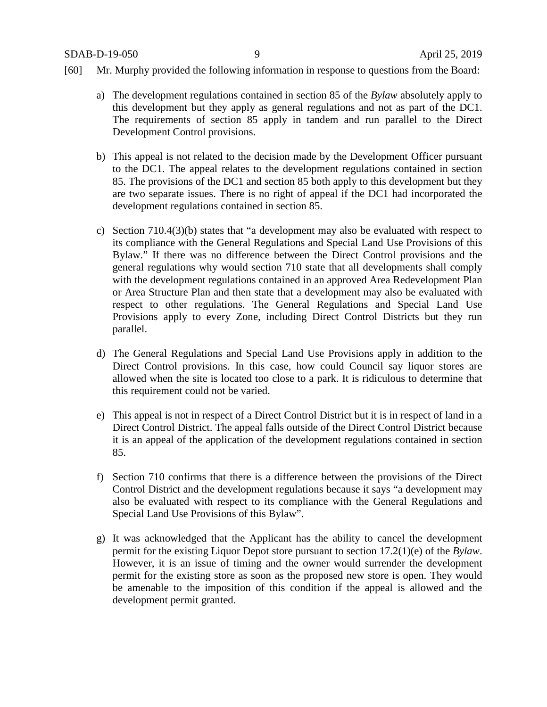- [60] Mr. Murphy provided the following information in response to questions from the Board:
	- a) The development regulations contained in section 85 of the *Bylaw* absolutely apply to this development but they apply as general regulations and not as part of the DC1. The requirements of section 85 apply in tandem and run parallel to the Direct Development Control provisions.
	- b) This appeal is not related to the decision made by the Development Officer pursuant to the DC1. The appeal relates to the development regulations contained in section 85. The provisions of the DC1 and section 85 both apply to this development but they are two separate issues. There is no right of appeal if the DC1 had incorporated the development regulations contained in section 85.
	- c) Section 710.4(3)(b) states that "a development may also be evaluated with respect to its compliance with the General Regulations and Special Land Use Provisions of this Bylaw." If there was no difference between the Direct Control provisions and the general regulations why would section 710 state that all developments shall comply with the development regulations contained in an approved Area Redevelopment Plan or Area Structure Plan and then state that a development may also be evaluated with respect to other regulations. The General Regulations and Special Land Use Provisions apply to every Zone, including Direct Control Districts but they run parallel.
	- d) The General Regulations and Special Land Use Provisions apply in addition to the Direct Control provisions. In this case, how could Council say liquor stores are allowed when the site is located too close to a park. It is ridiculous to determine that this requirement could not be varied.
	- e) This appeal is not in respect of a Direct Control District but it is in respect of land in a Direct Control District. The appeal falls outside of the Direct Control District because it is an appeal of the application of the development regulations contained in section 85.
	- f) Section 710 confirms that there is a difference between the provisions of the Direct Control District and the development regulations because it says "a development may also be evaluated with respect to its compliance with the General Regulations and Special Land Use Provisions of this Bylaw".
	- g) It was acknowledged that the Applicant has the ability to cancel the development permit for the existing Liquor Depot store pursuant to section 17.2(1)(e) of the *Bylaw*. However, it is an issue of timing and the owner would surrender the development permit for the existing store as soon as the proposed new store is open. They would be amenable to the imposition of this condition if the appeal is allowed and the development permit granted.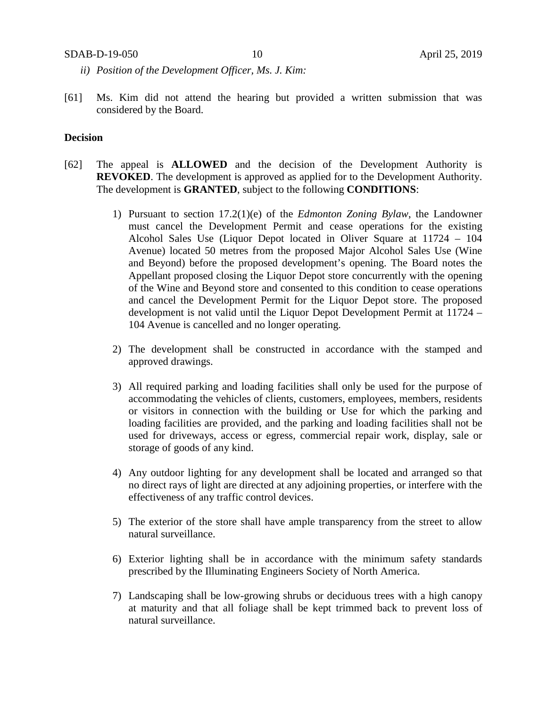#### SDAB-D-19-050 10 April 25, 2019

- *ii) Position of the Development Officer, Ms. J. Kim:*
- [61] Ms. Kim did not attend the hearing but provided a written submission that was considered by the Board.

## **Decision**

- [62] The appeal is **ALLOWED** and the decision of the Development Authority is **REVOKED**. The development is approved as applied for to the Development Authority. The development is **GRANTED**, subject to the following **CONDITIONS**:
	- 1) Pursuant to section 17.2(1)(e) of the *Edmonton Zoning Bylaw*, the Landowner must cancel the Development Permit and cease operations for the existing Alcohol Sales Use (Liquor Depot located in Oliver Square at 11724 – 104 Avenue) located 50 metres from the proposed Major Alcohol Sales Use (Wine and Beyond) before the proposed development's opening. The Board notes the Appellant proposed closing the Liquor Depot store concurrently with the opening of the Wine and Beyond store and consented to this condition to cease operations and cancel the Development Permit for the Liquor Depot store. The proposed development is not valid until the Liquor Depot Development Permit at 11724 – 104 Avenue is cancelled and no longer operating.
	- 2) The development shall be constructed in accordance with the stamped and approved drawings.
	- 3) All required parking and loading facilities shall only be used for the purpose of accommodating the vehicles of clients, customers, employees, members, residents or visitors in connection with the building or Use for which the parking and loading facilities are provided, and the parking and loading facilities shall not be used for driveways, access or egress, commercial repair work, display, sale or storage of goods of any kind.
	- 4) Any outdoor lighting for any development shall be located and arranged so that no direct rays of light are directed at any adjoining properties, or interfere with the effectiveness of any traffic control devices.
	- 5) The exterior of the store shall have ample transparency from the street to allow natural surveillance.
	- 6) Exterior lighting shall be in accordance with the minimum safety standards prescribed by the Illuminating Engineers Society of North America.
	- 7) Landscaping shall be low-growing shrubs or deciduous trees with a high canopy at maturity and that all foliage shall be kept trimmed back to prevent loss of natural surveillance.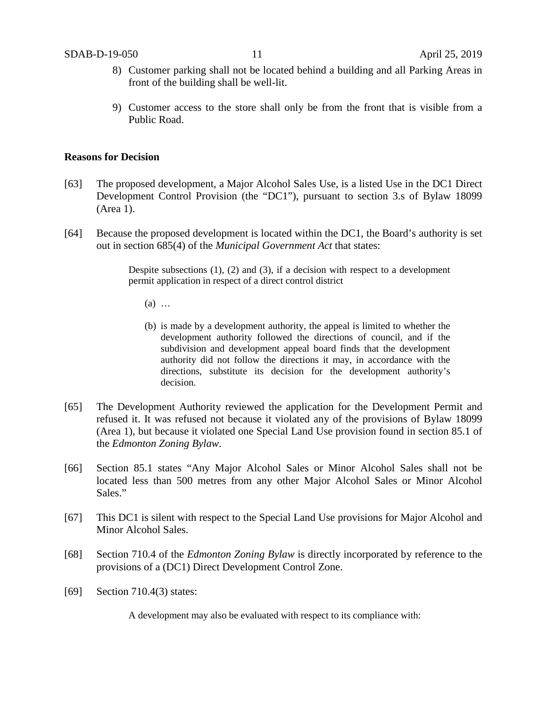- 8) Customer parking shall not be located behind a building and all Parking Areas in front of the building shall be well-lit.
- 9) Customer access to the store shall only be from the front that is visible from a Public Road.

## **Reasons for Decision**

- [63] The proposed development, a Major Alcohol Sales Use, is a listed Use in the DC1 Direct Development Control Provision (the "DC1"), pursuant to section 3.s of Bylaw 18099 (Area 1).
- [64] Because the proposed development is located within the DC1, the Board's authority is set out in section 685(4) of the *Municipal Government Act* that states:

Despite subsections (1), (2) and (3), if a decision with respect to a development permit application in respect of a direct control district

- (a) …
- (b) is made by a development authority, the appeal is limited to whether the development authority followed the directions of council, and if the subdivision and development appeal board finds that the development authority did not follow the directions it may, in accordance with the directions, substitute its decision for the development authority's decision.
- [65] The Development Authority reviewed the application for the Development Permit and refused it. It was refused not because it violated any of the provisions of Bylaw 18099 (Area 1), but because it violated one Special Land Use provision found in section 85.1 of the *Edmonton Zoning Bylaw*.
- [66] Section 85.1 states "Any Major Alcohol Sales or Minor Alcohol Sales shall not be located less than 500 metres from any other Major Alcohol Sales or Minor Alcohol Sales."
- [67] This DC1 is silent with respect to the Special Land Use provisions for Major Alcohol and Minor Alcohol Sales.
- [68] Section 710.4 of the *Edmonton Zoning Bylaw* is directly incorporated by reference to the provisions of a (DC1) Direct Development Control Zone.
- [69] Section 710.4(3) states:

A development may also be evaluated with respect to its compliance with: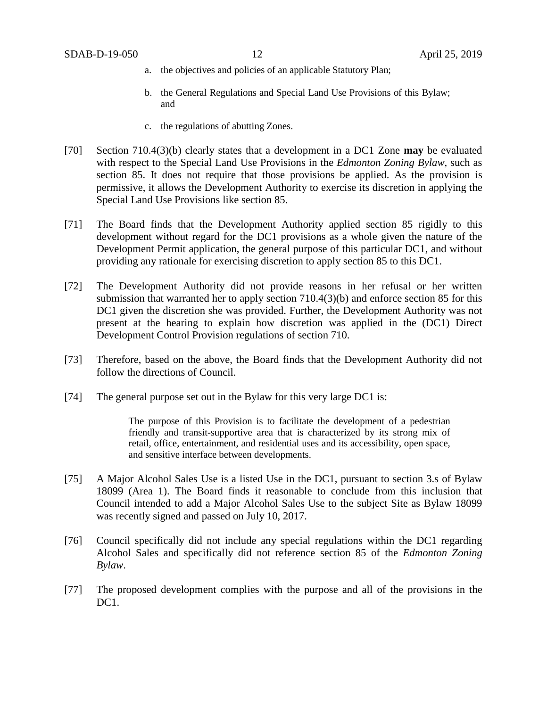- a. the objectives and policies of an applicable Statutory Plan;
- b. the General Regulations and Special Land Use Provisions of this Bylaw; and
- c. the regulations of abutting Zones.
- [70] Section 710.4(3)(b) clearly states that a development in a DC1 Zone **may** be evaluated with respect to the Special Land Use Provisions in the *Edmonton Zoning Bylaw*, such as section 85. It does not require that those provisions be applied. As the provision is permissive, it allows the Development Authority to exercise its discretion in applying the Special Land Use Provisions like section 85.
- [71] The Board finds that the Development Authority applied section 85 rigidly to this development without regard for the DC1 provisions as a whole given the nature of the Development Permit application, the general purpose of this particular DC1, and without providing any rationale for exercising discretion to apply section 85 to this DC1.
- [72] The Development Authority did not provide reasons in her refusal or her written submission that warranted her to apply section 710.4(3)(b) and enforce section 85 for this DC1 given the discretion she was provided. Further, the Development Authority was not present at the hearing to explain how discretion was applied in the (DC1) Direct Development Control Provision regulations of section 710.
- [73] Therefore, based on the above, the Board finds that the Development Authority did not follow the directions of Council.
- [74] The general purpose set out in the Bylaw for this very large DC1 is:

The purpose of this Provision is to facilitate the development of a pedestrian friendly and transit-supportive area that is characterized by its strong mix of retail, office, entertainment, and residential uses and its accessibility, open space, and sensitive interface between developments.

- [75] A Major Alcohol Sales Use is a listed Use in the DC1, pursuant to section 3.s of Bylaw 18099 (Area 1). The Board finds it reasonable to conclude from this inclusion that Council intended to add a Major Alcohol Sales Use to the subject Site as Bylaw 18099 was recently signed and passed on July 10, 2017.
- [76] Council specifically did not include any special regulations within the DC1 regarding Alcohol Sales and specifically did not reference section 85 of the *Edmonton Zoning Bylaw*.
- [77] The proposed development complies with the purpose and all of the provisions in the DC1.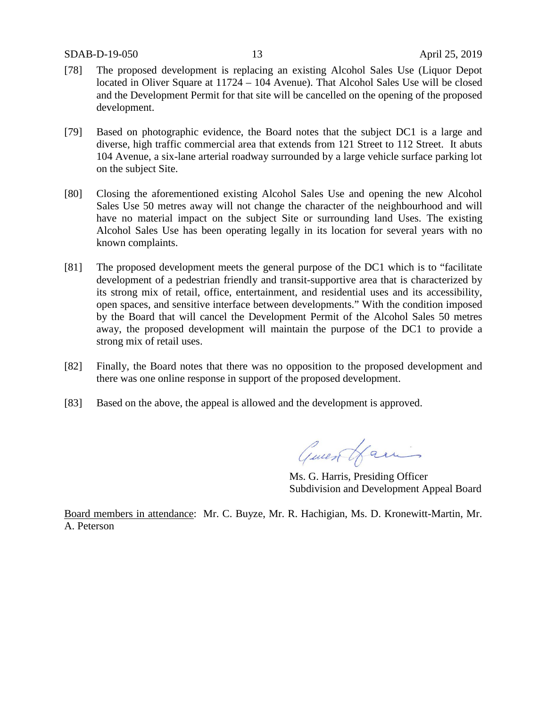- [78] The proposed development is replacing an existing Alcohol Sales Use (Liquor Depot located in Oliver Square at 11724 – 104 Avenue). That Alcohol Sales Use will be closed and the Development Permit for that site will be cancelled on the opening of the proposed development.
- [79] Based on photographic evidence, the Board notes that the subject DC1 is a large and diverse, high traffic commercial area that extends from 121 Street to 112 Street. It abuts 104 Avenue, a six-lane arterial roadway surrounded by a large vehicle surface parking lot on the subject Site.
- [80] Closing the aforementioned existing Alcohol Sales Use and opening the new Alcohol Sales Use 50 metres away will not change the character of the neighbourhood and will have no material impact on the subject Site or surrounding land Uses. The existing Alcohol Sales Use has been operating legally in its location for several years with no known complaints.
- [81] The proposed development meets the general purpose of the DC1 which is to "facilitate development of a pedestrian friendly and transit-supportive area that is characterized by its strong mix of retail, office, entertainment, and residential uses and its accessibility, open spaces, and sensitive interface between developments." With the condition imposed by the Board that will cancel the Development Permit of the Alcohol Sales 50 metres away, the proposed development will maintain the purpose of the DC1 to provide a strong mix of retail uses.
- [82] Finally, the Board notes that there was no opposition to the proposed development and there was one online response in support of the proposed development.
- [83] Based on the above, the appeal is allowed and the development is approved.

General Lamin

Ms. G. Harris, Presiding Officer Subdivision and Development Appeal Board

Board members in attendance: Mr. C. Buyze, Mr. R. Hachigian, Ms. D. Kronewitt-Martin, Mr. A. Peterson